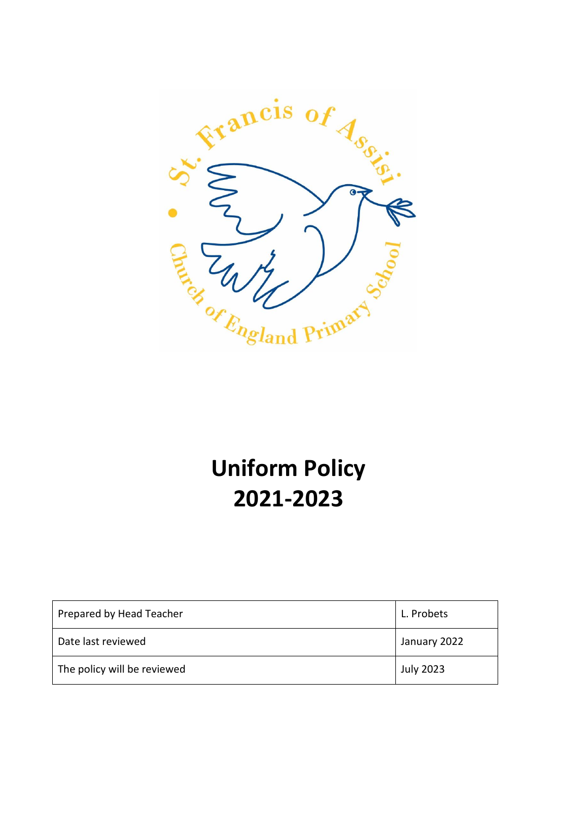

# **Uniform Policy 2021-2023**

| Prepared by Head Teacher    | L. Probets       |
|-----------------------------|------------------|
| Date last reviewed          | January 2022     |
| The policy will be reviewed | <b>July 2023</b> |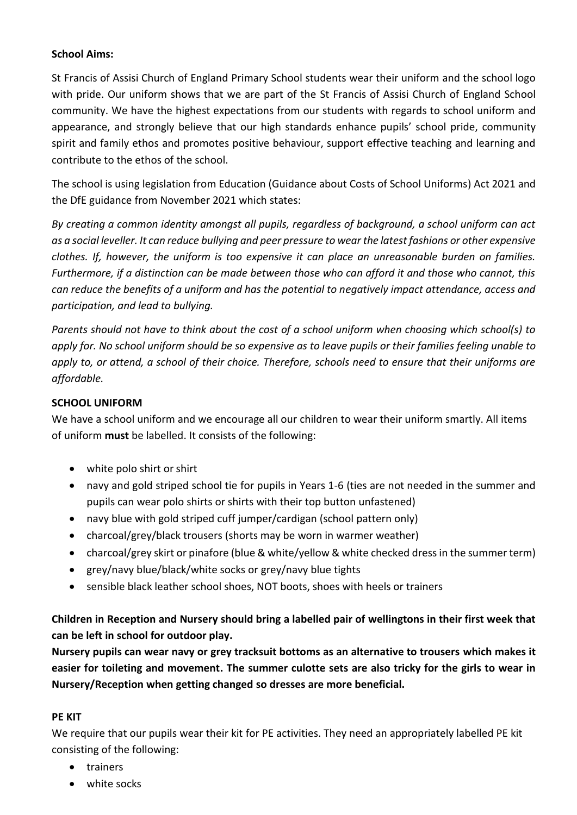## **School Aims:**

St Francis of Assisi Church of England Primary School students wear their uniform and the school logo with pride. Our uniform shows that we are part of the St Francis of Assisi Church of England School community. We have the highest expectations from our students with regards to school uniform and appearance, and strongly believe that our high standards enhance pupils' school pride, community spirit and family ethos and promotes positive behaviour, support effective teaching and learning and contribute to the ethos of the school.

The school is using legislation from Education (Guidance about Costs of School Uniforms) Act 2021 and the DfE guidance from November 2021 which states:

*By creating a common identity amongst all pupils, regardless of background, a school uniform can act as a social leveller. It can reduce bullying and peer pressure to wear the latest fashions or other expensive clothes. If, however, the uniform is too expensive it can place an unreasonable burden on families. Furthermore, if a distinction can be made between those who can afford it and those who cannot, this can reduce the benefits of a uniform and has the potential to negatively impact attendance, access and participation, and lead to bullying.*

*Parents should not have to think about the cost of a school uniform when choosing which school(s) to apply for. No school uniform should be so expensive as to leave pupils or their families feeling unable to apply to, or attend, a school of their choice. Therefore, schools need to ensure that their uniforms are affordable.*

## **SCHOOL UNIFORM**

We have a school uniform and we encourage all our children to wear their uniform smartly. All items of uniform **must** be labelled. It consists of the following:

- white polo shirt or shirt
- navy and gold striped school tie for pupils in Years 1-6 (ties are not needed in the summer and pupils can wear polo shirts or shirts with their top button unfastened)
- navy blue with gold striped cuff jumper/cardigan (school pattern only)
- charcoal/grey/black trousers (shorts may be worn in warmer weather)
- charcoal/grey skirt or pinafore (blue & white/yellow & white checked dress in the summer term)
- grey/navy blue/black/white socks or grey/navy blue tights
- sensible black leather school shoes, NOT boots, shoes with heels or trainers

**Children in Reception and Nursery should bring a labelled pair of wellingtons in their first week that can be left in school for outdoor play.**

**Nursery pupils can wear navy or grey tracksuit bottoms as an alternative to trousers which makes it easier for toileting and movement. The summer culotte sets are also tricky for the girls to wear in Nursery/Reception when getting changed so dresses are more beneficial.**

## **PE KIT**

We require that our pupils wear their kit for PE activities. They need an appropriately labelled PE kit consisting of the following:

- trainers
- white socks